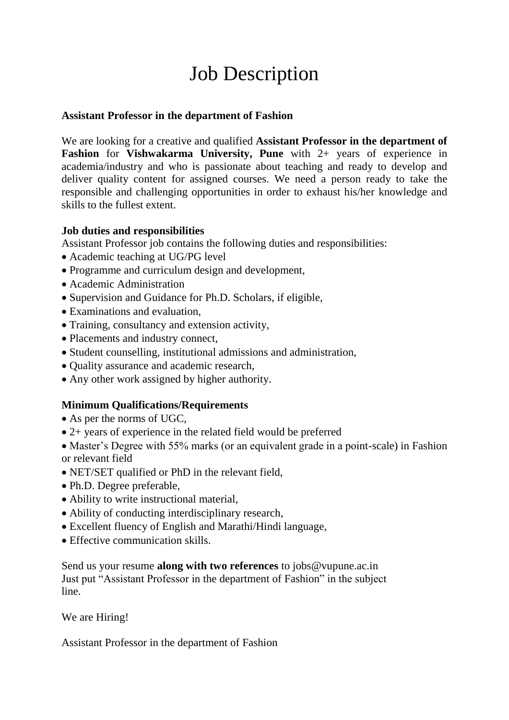# Job Description

#### **Assistant Professor in the department of Fashion**

We are looking for a creative and qualified **Assistant Professor in the department of Fashion** for **Vishwakarma University, Pune** with 2+ years of experience in academia/industry and who is passionate about teaching and ready to develop and deliver quality content for assigned courses. We need a person ready to take the responsible and challenging opportunities in order to exhaust his/her knowledge and skills to the fullest extent.

## **Job duties and responsibilities**

Assistant Professor job contains the following duties and responsibilities:

- Academic teaching at UG/PG level
- Programme and curriculum design and development,
- Academic Administration
- Supervision and Guidance for Ph.D. Scholars, if eligible,
- Examinations and evaluation,
- Training, consultancy and extension activity,
- Placements and industry connect,
- Student counselling, institutional admissions and administration,
- Quality assurance and academic research,
- Any other work assigned by higher authority.

## **Minimum Qualifications/Requirements**

- As per the norms of UGC.
- 2+ years of experience in the related field would be preferred

• Master's Degree with 55% marks (or an equivalent grade in a point-scale) in Fashion or relevant field

- NET/SET qualified or PhD in the relevant field,
- Ph.D. Degree preferable,
- Ability to write instructional material,
- Ability of conducting interdisciplinary research,
- Excellent fluency of English and Marathi/Hindi language,
- Effective communication skills.

Send us your resume **along with two references** to jobs@vupune.ac.in Just put "Assistant Professor in the department of Fashion" in the subject line.

#### We are Hiring!

Assistant Professor in the department of Fashion